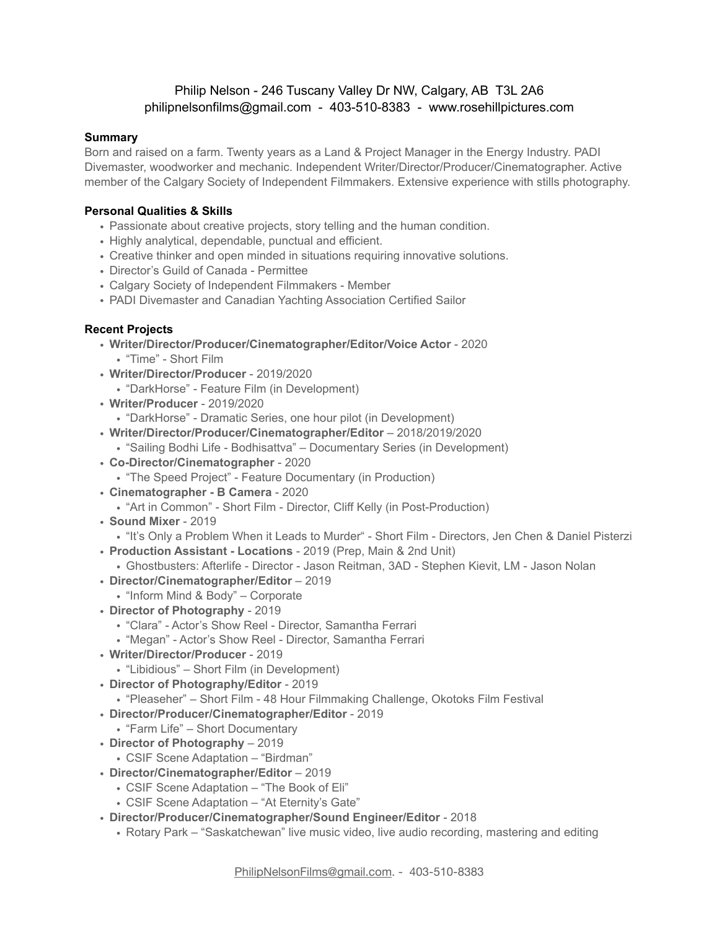# Philip Nelson - 246 Tuscany Valley Dr NW, Calgary, AB T3L 2A6 philipnelsonfilms@gmail.com - 403-510-8383 - www.rosehillpictures.com

#### **Summary**

Born and raised on a farm. Twenty years as a Land & Project Manager in the Energy Industry. PADI Divemaster, woodworker and mechanic. Independent Writer/Director/Producer/Cinematographer. Active member of the Calgary Society of Independent Filmmakers. Extensive experience with stills photography.

## **Personal Qualities & Skills**

- Passionate about creative projects, story telling and the human condition.
- Highly analytical, dependable, punctual and efficient.
- Creative thinker and open minded in situations requiring innovative solutions.
- Director's Guild of Canada Permittee
- Calgary Society of Independent Filmmakers Member
- PADI Divemaster and Canadian Yachting Association Certified Sailor

## **Recent Projects**

- **Writer/Director/Producer/Cinematographer/Editor/Voice Actor** 2020
	- "Time" Short Film
- **Writer/Director/Producer** 2019/2020
	- "DarkHorse" Feature Film (in Development)
- **Writer/Producer** 2019/2020
	- "DarkHorse" Dramatic Series, one hour pilot (in Development)
- **Writer/Director/Producer/Cinematographer/Editor** 2018/2019/2020
	- "Sailing Bodhi Life Bodhisattva" Documentary Series (in Development)
- **Co-Director/Cinematographer** 2020
	- "The Speed Project" Feature Documentary (in Production)
- **Cinematographer B Camera** 2020
	- "Art in Common" Short Film Director, Cliff Kelly (in Post-Production)
- **Sound Mixer** 2019
- "It's Only a Problem When it Leads to Murder" Short Film Directors, Jen Chen & Daniel Pisterzi
- **Production Assistant Locations** 2019 (Prep, Main & 2nd Unit)
	- Ghostbusters: Afterlife Director Jason Reitman, 3AD Stephen Kievit, LM Jason Nolan
- **Director/Cinematographer/Editor** 2019
- "Inform Mind & Body" Corporate
- **Director of Photography** 2019
	- "Clara" Actor's Show Reel Director, Samantha Ferrari
	- "Megan" Actor's Show Reel Director, Samantha Ferrari
- **Writer/Director/Producer** 2019
	- "Libidious" Short Film (in Development)
- **Director of Photography/Editor** 2019
	- "Pleaseher" Short Film 48 Hour Filmmaking Challenge, Okotoks Film Festival
- **Director/Producer/Cinematographer/Editor** 2019
- "Farm Life" Short Documentary
- **Director of Photography** 2019
	- CSIF Scene Adaptation "Birdman"
- **Director/Cinematographer/Editor** 2019
	- CSIF Scene Adaptation "The Book of Eli"
	- CSIF Scene Adaptation "At Eternity's Gate"
- **Director/Producer/Cinematographer/Sound Engineer/Editor** 2018
	- Rotary Park "Saskatchewan" live music video, live audio recording, mastering and editing